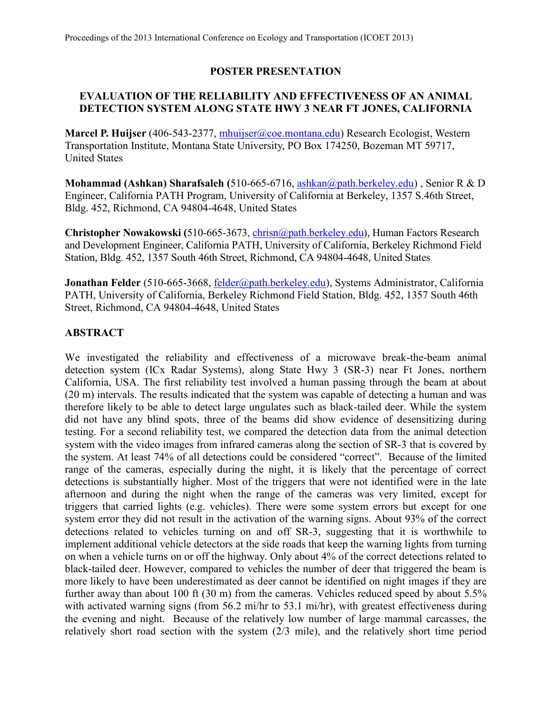# **POSTER PRESENTATION**

# **EVALUATION OF THE RELIABILITY AND EFFECTIVENESS OF AN ANIMAL DETECTION SYSTEM ALONG STATE HWY 3 NEAR FT JONES, CALIFORNIA**

**Marcel P. Huijser** (406-543-2377, [mhuijser@coe.montana.edu\)](mailto:mhuijser@coe.montana.edu) Research Ecologist, Western Transportation Institute, Montana State University, PO Box 174250, Bozeman MT 59717, United States

**Mohammad (Ashkan) Sharafsaleh (**510-665-6716, [ashkan@path.berkeley.edu\)](mailto:ashkan@path.berkeley.edu) , Senior R & D Engineer, California PATH Program, University of California at Berkeley, 1357 S.46th Street, Bldg. 452, Richmond, CA 94804-4648, United States

**Christopher Nowakowski (**510-665-3673, [chrisn@path.berkeley.edu\)](mailto:chrisn@PATH.Berkeley.EDU), Human Factors Research and Development Engineer, California PATH, University of California, Berkeley Richmond Field Station, Bldg. 452, 1357 South 46th Street, Richmond, CA 94804-4648, United States

Jonathan Felder (510-665-3668, [felder@path.berkeley.edu\)](mailto:felder@path.berkeley.edu), Systems Administrator, California PATH, University of California, Berkeley Richmond Field Station, Bldg. 452, 1357 South 46th Street, Richmond, CA 94804-4648, United States

# **ABSTRACT**

We investigated the reliability and effectiveness of a microwave break-the-beam animal detection system (ICx Radar Systems), along State Hwy 3 (SR-3) near Ft Jones, northern California, USA. The first reliability test involved a human passing through the beam at about (20 m) intervals. The results indicated that the system was capable of detecting a human and was therefore likely to be able to detect large ungulates such as black-tailed deer. While the system did not have any blind spots, three of the beams did show evidence of desensitizing during testing. For a second reliability test, we compared the detection data from the animal detection system with the video images from infrared cameras along the section of SR-3 that is covered by the system. At least 74% of all detections could be considered "correct". Because of the limited range of the cameras, especially during the night, it is likely that the percentage of correct detections is substantially higher. Most of the triggers that were not identified were in the late afternoon and during the night when the range of the cameras was very limited, except for triggers that carried lights (e.g. vehicles). There were some system errors but except for one system error they did not result in the activation of the warning signs. About 93% of the correct detections related to vehicles turning on and off SR-3, suggesting that it is worthwhile to implement additional vehicle detectors at the side roads that keep the warning lights from turning on when a vehicle turns on or off the highway. Only about 4% of the correct detections related to black-tailed deer. However, compared to vehicles the number of deer that triggered the beam is more likely to have been underestimated as deer cannot be identified on night images if they are further away than about 100 ft (30 m) from the cameras. Vehicles reduced speed by about 5.5% with activated warning signs (from 56.2 mi/hr to 53.1 mi/hr), with greatest effectiveness during the evening and night. Because of the relatively low number of large mammal carcasses, the relatively short road section with the system (2/3 mile), and the relatively short time period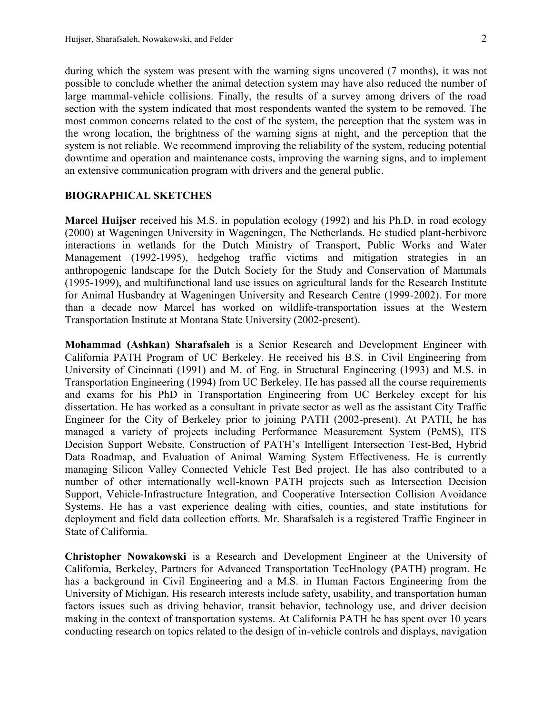during which the system was present with the warning signs uncovered (7 months), it was not possible to conclude whether the animal detection system may have also reduced the number of large mammal-vehicle collisions. Finally, the results of a survey among drivers of the road section with the system indicated that most respondents wanted the system to be removed. The most common concerns related to the cost of the system, the perception that the system was in the wrong location, the brightness of the warning signs at night, and the perception that the system is not reliable. We recommend improving the reliability of the system, reducing potential downtime and operation and maintenance costs, improving the warning signs, and to implement an extensive communication program with drivers and the general public.

## **BIOGRAPHICAL SKETCHES**

**Marcel Huijser** received his M.S. in population ecology (1992) and his Ph.D. in road ecology (2000) at Wageningen University in Wageningen, The Netherlands. He studied plant-herbivore interactions in wetlands for the Dutch Ministry of Transport, Public Works and Water Management (1992-1995), hedgehog traffic victims and mitigation strategies in an anthropogenic landscape for the Dutch Society for the Study and Conservation of Mammals (1995-1999), and multifunctional land use issues on agricultural lands for the Research Institute for Animal Husbandry at Wageningen University and Research Centre (1999-2002). For more than a decade now Marcel has worked on wildlife-transportation issues at the Western Transportation Institute at Montana State University (2002-present).

**Mohammad (Ashkan) Sharafsaleh** is a Senior Research and Development Engineer with California PATH Program of UC Berkeley. He received his B.S. in Civil Engineering from University of Cincinnati (1991) and M. of Eng. in Structural Engineering (1993) and M.S. in Transportation Engineering (1994) from UC Berkeley. He has passed all the course requirements and exams for his PhD in Transportation Engineering from UC Berkeley except for his dissertation. He has worked as a consultant in private sector as well as the assistant City Traffic Engineer for the City of Berkeley prior to joining PATH (2002-present). At PATH, he has managed a variety of projects including Performance Measurement System (PeMS), ITS Decision Support Website, Construction of PATH's Intelligent Intersection Test-Bed, Hybrid Data Roadmap, and Evaluation of Animal Warning System Effectiveness. He is currently managing Silicon Valley Connected Vehicle Test Bed project. He has also contributed to a number of other internationally well-known PATH projects such as Intersection Decision Support, Vehicle-Infrastructure Integration, and Cooperative Intersection Collision Avoidance Systems. He has a vast experience dealing with cities, counties, and state institutions for deployment and field data collection efforts. Mr. Sharafsaleh is a registered Traffic Engineer in State of California.

**Christopher Nowakowski** is a Research and Development Engineer at the University of California, Berkeley, Partners for Advanced Transportation TecHnology (PATH) program. He has a background in Civil Engineering and a M.S. in Human Factors Engineering from the University of Michigan. His research interests include safety, usability, and transportation human factors issues such as driving behavior, transit behavior, technology use, and driver decision making in the context of transportation systems. At California PATH he has spent over 10 years conducting research on topics related to the design of in-vehicle controls and displays, navigation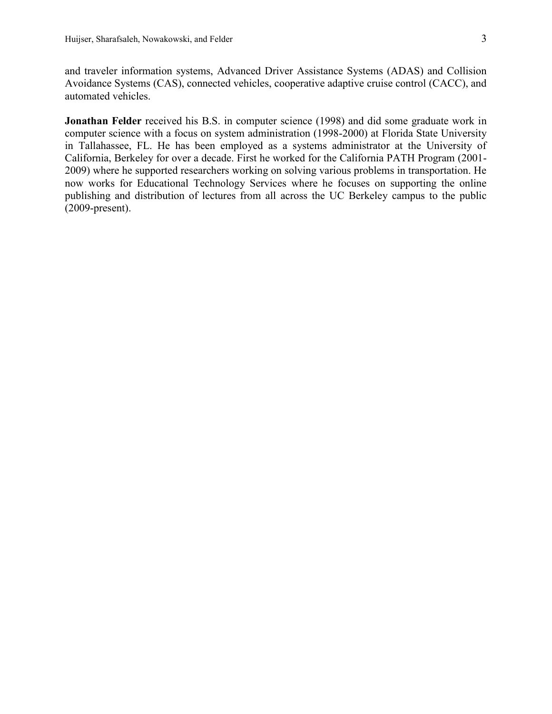and traveler information systems, Advanced Driver Assistance Systems (ADAS) and Collision Avoidance Systems (CAS), connected vehicles, cooperative adaptive cruise control (CACC), and automated vehicles.

**Jonathan Felder** received his B.S. in computer science (1998) and did some graduate work in computer science with a focus on system administration (1998-2000) at Florida State University in Tallahassee, FL. He has been employed as a systems administrator at the University of California, Berkeley for over a decade. First he worked for the California PATH Program (2001- 2009) where he supported researchers working on solving various problems in transportation. He now works for Educational Technology Services where he focuses on supporting the online publishing and distribution of lectures from all across the UC Berkeley campus to the public (2009-present).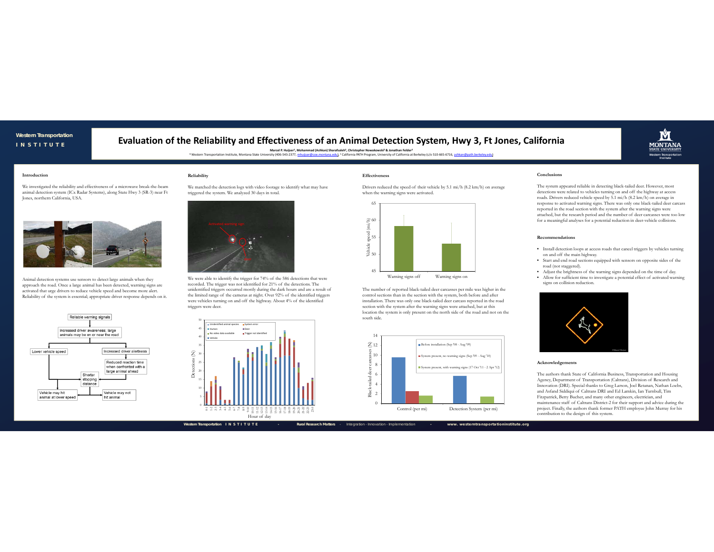### **Western Transportation** *INSTITUTE*

# **Evaluation of the Reliability and Effectiveness of an Animal Detection System, Hwy 3, Ft Jones, California**

Monamic Base of the University of Americ P. Hujker<sup>4</sup>, Mohammad (Ashkan) Sharafsaleh<sup>3</sup>, Christopher Nowakowski<sup>se</sup> & Jonathan Felder<sup>4</sup><br>- Western Transportation Institute, Montana State University (406-543-2377, <u>mhuliser</u>



We investigated the reliability and effectiveness of a microwave break-the-beam animal detection system (ICx Radar Systems), along State Hwy 3 (SR-3) near Ft Jones, northern California, USA.



Animal detection systems use sensors to detect large animals when they approach the road. Once a large animal has been detected, warning signs are activated that urge drivers to reduce vehicle speed and become more alert. Reliability of the system is essential; appropriate driver response depends on it.



We matched the detection logs with video footage to identify what may have triggered the system. We analyzed 30 days in total.

**Reliability**



We were able to identify the trigger for 74% of the 586 detections that were recorded. The trigger was not identified for 21% of the detections. The unidentified triggers occurred mostly during the dark hours and are a result of the limited range of the cameras at night. Over 92% of the identified triggers were vehicles turning on and off the highway. About 4% of the identified triggers were deer.



### **Effectiveness**

Drivers reduced the speed of their vehicle by 5.1 mi/h (8.2 km/h) on average when the warning signs were activated.



Warning signs off Warning signs on

The number of reported black-tailed deer carcasses per mile was higher in the control sections than in the section with the system, both before and after installation. There was only one black-tailed deer carcass reported in the road section with the system after the warning signs were attached, but at this location the system is only present on the north side of the road and not on the south side.



### **Conclusions**

The system appeared reliable in detecting black-tailed deer. However, most detections were related to vehicles turning on and off the highway at access roads. Drivers reduced vehicle speed by 5.1 mi/h (8.2 km/h) on average in response to activated warning signs. There was only one black-tailed deer carcass reported in the road section with the system after the warning signs were attached, but the research period and the number of deer carcasses were too low for a meaningful analyses for a potential reduction in deer-vehicle collisions.

**MONTANA** 

#### **Recommendations**

- Install detection loops at access roads that cancel triggers by vehicles turning on and off the main highway.
- Start and end road sections equipped with sensors on opposite sides of the road (not staggered).
- Adjust the brightness of the warning signs depended on the time of day.
- Allow for sufficient time to investigate a potential effect of activated warning signs on collision reduction.



### **Acknowledgements**

The authors thank State of California Business, Transportation and Housing Agency, Department of Transportation (Caltrans), Division of Research and Innovation (DRI). Special thanks to Greg Larson, Joel Retanan, Nathan Loebs, and Asfand Siddiqui of Caltrans DRI and Ed Lamkin, Ian Turnbull, Tim Fitzpatrick, Betty Bucher, and many other engineers, electrician, and maintenance staff of Caltrans District-2 for their support and advice during the project. Finally, the authors thank former PATH employee John Murray for his contribution to the design of this system.